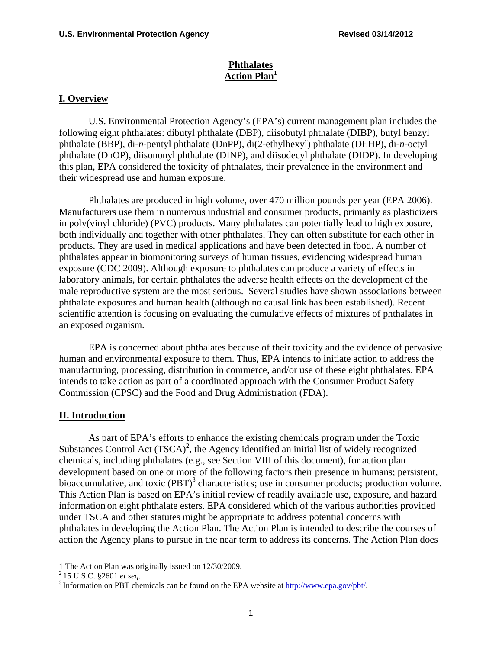#### **Phthalates Action Plan1**

#### **I. Overview**

U.S. Environmental Protection Agency's (EPA's) current management plan includes the following eight phthalates: dibutyl phthalate (DBP), diisobutyl phthalate (DIBP), butyl benzyl phthalate (BBP), di-*n*-pentyl phthalate (DnPP), di(2-ethylhexyl) phthalate (DEHP), di-*n*-octyl phthalate (DnOP), diisononyl phthalate (DINP), and diisodecyl phthalate (DIDP). In developing this plan, EPA considered the toxicity of phthalates, their prevalence in the environment and their widespread use and human exposure.

Phthalates are produced in high volume, over 470 million pounds per year (EPA 2006). Manufacturers use them in numerous industrial and consumer products, primarily as plasticizers in poly(vinyl chloride) (PVC) products. Many phthalates can potentially lead to high exposure, both individually and together with other phthalates. They can often substitute for each other in products. They are used in medical applications and have been detected in food. A number of phthalates appear in biomonitoring surveys of human tissues, evidencing widespread human exposure (CDC 2009). Although exposure to phthalates can produce a variety of effects in laboratory animals, for certain phthalates the adverse health effects on the development of the male reproductive system are the most serious. Several studies have shown associations between phthalate exposures and human health (although no causal link has been established). Recent scientific attention is focusing on evaluating the cumulative effects of mixtures of phthalates in an exposed organism.

EPA is concerned about phthalates because of their toxicity and the evidence of pervasive human and environmental exposure to them. Thus, EPA intends to initiate action to address the manufacturing, processing, distribution in commerce, and/or use of these eight phthalates. EPA intends to take action as part of a coordinated approach with the Consumer Product Safety Commission (CPSC) and the Food and Drug Administration (FDA).

#### **II. Introduction**

As part of EPA's efforts to enhance the existing chemicals program under the Toxic Substances Control Act  $(TSCA)^2$ , the Agency identified an initial list of widely recognized chemicals, including phthalates (e.g., see Section VIII of this document), for action plan development based on one or more of the following factors their presence in humans; persistent, bioaccumulative, and toxic  $(PBT)^3$  characteristics; use in consumer products; production volume. This Action Plan is based on EPA's initial review of readily available use, exposure, and hazard information on eight phthalate esters. EPA considered which of the various authorities provided under TSCA and other statutes might be appropriate to address potential concerns with phthalates in developing the Action Plan. The Action Plan is intended to describe the courses of action the Agency plans to pursue in the near term to address its concerns. The Action Plan does

 $\overline{a}$ 

<sup>1</sup> The Action Plan was originally issued on 12/30/2009.

<sup>2 15</sup> U.S.C. §2601 *et seq.*

<sup>&</sup>lt;sup>2</sup> 15 U.S.C. §2601 *et seq*.<br><sup>3</sup> Information on PBT chemicals can be found on the EPA website at <u>http://www.epa.gov/pbt/</u>.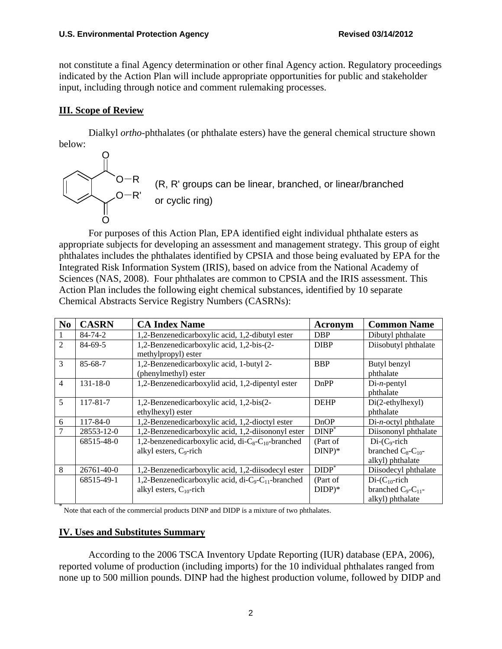not constitute a final Agency determination or other final Agency action. Regulatory proceedings indicated by the Action Plan will include appropriate opportunities for public and stakeholder input, including through notice and comment rulemaking processes.

# **III. Scope of Review**

Dialkyl *ortho*-phthalates (or phthalate esters) have the general chemical structure shown below:



For purposes of this Action Plan, EPA identified eight individual phthalate esters as appropriate subjects for developing an assessment and management strategy. This group of eight phthalates includes the phthalates identified by CPSIA and those being evaluated by EPA for the Integrated Risk Information System (IRIS), based on advice from the National Academy of Sciences (NAS, 2008). Four phthalates are common to CPSIA and the IRIS assessment. This Action Plan includes the following eight chemical substances, identified by 10 separate Chemical Abstracts Service Registry Numbers (CASRNs):

| N <sub>0</sub> | <b>CASRN</b>   | <b>CA Index Name</b>                                         | Acronym          | <b>Common Name</b>          |
|----------------|----------------|--------------------------------------------------------------|------------------|-----------------------------|
|                | $84 - 74 - 2$  | 1,2-Benzenedicarboxylic acid, 1,2-dibutyl ester              | <b>DBP</b>       | Dibutyl phthalate           |
| $\overline{2}$ | $84 - 69 - 5$  | 1,2-Benzenedicarboxylic acid, 1,2-bis-(2-                    | <b>DIBP</b>      | Diisobutyl phthalate        |
|                |                | methylpropyl) ester                                          |                  |                             |
| 3              | 85-68-7        | 1,2-Benzenedicarboxylic acid, 1-butyl 2-                     | <b>BBP</b>       | Butyl benzyl                |
|                |                | (phenylmethyl) ester                                         |                  | phthalate                   |
| $\overline{4}$ | $131 - 18 - 0$ | 1,2-Benzenedicarboxylid acid, 1,2-dipentyl ester             | DnPP             | $Di-n$ -pentyl              |
|                |                |                                                              |                  | phthalate                   |
| 5              | 117-81-7       | 1,2-Benzenedicarboxylic acid, 1,2-bis(2-                     | <b>DEHP</b>      | $Di(2-ethylhexyl)$          |
|                |                | ethylhexyl) ester                                            |                  | phthalate                   |
| 6              | $117 - 84 - 0$ | 1,2-Benzenedicarboxylic acid, 1,2-dioctyl ester              | DnOP             | $Di-n-octyl$ phthalate      |
|                | 28553-12-0     | 1,2-Benzenedicarboxylic acid, 1,2-diisononyl ester           | $DINP^*$         | Diisononyl phthalate        |
|                | 68515-48-0     | 1,2-benzenedicarboxylic acid, di- $C_8$ - $C_{10}$ -branched | (Part of         | $Di$ - $(C_9$ -rich         |
|                |                | alkyl esters, $C_9$ -rich                                    | $DINP)*$         | branched $C_8$ - $C_{10}$ - |
|                |                |                                                              |                  | alkyl) phthalate            |
| 8              | 26761-40-0     | 1,2-Benzenedicarboxylic acid, 1,2-diisodecyl ester           | $DIDP^{\dagger}$ | Diisodecyl phthalate        |
|                | 68515-49-1     | 1,2-Benzenedicarboxylic acid, di- $C_9$ - $C_{11}$ -branched | (Part of         | $Di$ - $(C_{10}$ -rich      |
|                |                | alkyl esters, $C_{10}$ -rich                                 | $DIDP)*$         | branched $C_9$ - $C_{11}$ - |
|                |                |                                                              |                  | alkyl) phthalate            |

\* Note that each of the commercial products DINP and DIDP is a mixture of two phthalates.

# **IV. Uses and Substitutes Summary**

According to the 2006 TSCA Inventory Update Reporting (IUR) database (EPA, 2006), reported volume of production (including imports) for the 10 individual phthalates ranged from none up to 500 million pounds. DINP had the highest production volume, followed by DIDP and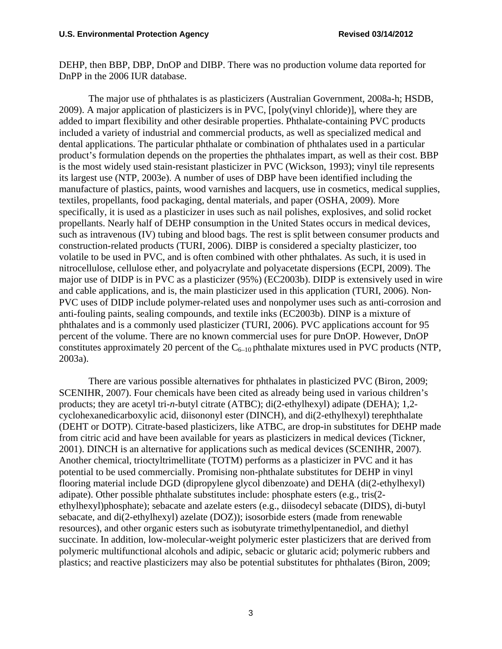DEHP, then BBP, DBP, DnOP and DIBP. There was no production volume data reported for DnPP in the 2006 IUR database.

The major use of phthalates is as plasticizers (Australian Government, 2008a-h; HSDB, 2009). A major application of plasticizers is in PVC, [poly(vinyl chloride)], where they are added to impart flexibility and other desirable properties. Phthalate-containing PVC products included a variety of industrial and commercial products, as well as specialized medical and dental applications. The particular phthalate or combination of phthalates used in a particular product's formulation depends on the properties the phthalates impart, as well as their cost. BBP is the most widely used stain-resistant plasticizer in PVC (Wickson, 1993); vinyl tile represents its largest use (NTP, 2003e). A number of uses of DBP have been identified including the manufacture of plastics, paints, wood varnishes and lacquers, use in cosmetics, medical supplies, textiles, propellants, food packaging, dental materials, and paper (OSHA, 2009). More specifically, it is used as a plasticizer in uses such as nail polishes, explosives, and solid rocket propellants. Nearly half of DEHP consumption in the United States occurs in medical devices, such as intravenous (IV) tubing and blood bags. The rest is split between consumer products and construction-related products (TURI, 2006). DIBP is considered a specialty plasticizer, too volatile to be used in PVC, and is often combined with other phthalates. As such, it is used in nitrocellulose, cellulose ether, and polyacrylate and polyacetate dispersions (ECPI, 2009). The major use of DIDP is in PVC as a plasticizer (95%) (EC2003b). DIDP is extensively used in wire and cable applications, and is, the main plasticizer used in this application (TURI, 2006). Non-PVC uses of DIDP include polymer-related uses and nonpolymer uses such as anti-corrosion and anti-fouling paints, sealing compounds, and textile inks (EC2003b). DINP is a mixture of phthalates and is a commonly used plasticizer (TURI, 2006). PVC applications account for 95 percent of the volume. There are no known commercial uses for pure DnOP. However, DnOP constitutes approximately 20 percent of the  $C_{6-10}$  phthalate mixtures used in PVC products (NTP, 2003a).

There are various possible alternatives for phthalates in plasticized PVC (Biron, 2009; SCENIHR, 2007). Four chemicals have been cited as already being used in various children's products; they are acetyl tri-*n*-butyl citrate (ATBC); di(2-ethylhexyl) adipate (DEHA); 1,2 cyclohexanedicarboxylic acid, diisononyl ester (DINCH), and di(2-ethylhexyl) terephthalate (DEHT or DOTP). Citrate-based plasticizers, like ATBC, are drop-in substitutes for DEHP made from citric acid and have been available for years as plasticizers in medical devices (Tickner, 2001). DINCH is an alternative for applications such as medical devices (SCENIHR, 2007). Another chemical, trioctyltrimellitate (TOTM) performs as a plasticizer in PVC and it has potential to be used commercially. Promising non-phthalate substitutes for DEHP in vinyl flooring material include DGD (dipropylene glycol dibenzoate) and DEHA (di(2-ethylhexyl) adipate). Other possible phthalate substitutes include: phosphate esters (e.g., tris(2 ethylhexyl)phosphate); sebacate and azelate esters (e.g., diisodecyl sebacate (DIDS), di-butyl sebacate, and di(2-ethylhexyl) azelate (DOZ)); isosorbide esters (made from renewable resources), and other organic esters such as isobutyrate trimethylpentanediol, and diethyl succinate. In addition, low-molecular-weight polymeric ester plasticizers that are derived from polymeric multifunctional alcohols and adipic, sebacic or glutaric acid; polymeric rubbers and plastics; and reactive plasticizers may also be potential substitutes for phthalates (Biron, 2009;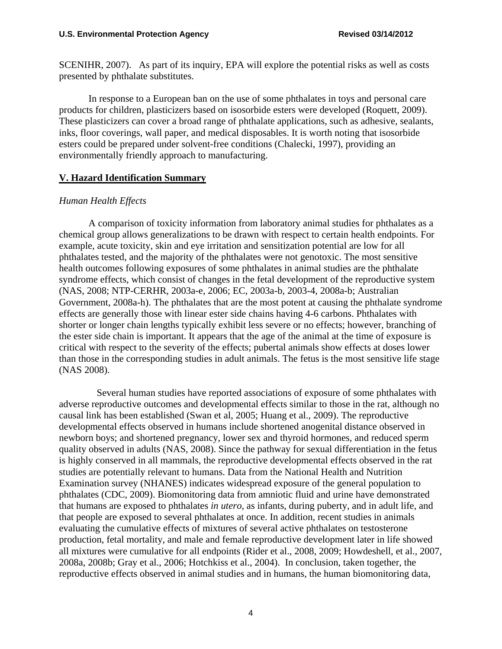SCENIHR, 2007). As part of its inquiry, EPA will explore the potential risks as well as costs presented by phthalate substitutes.

In response to a European ban on the use of some phthalates in toys and personal care products for children, plasticizers based on isosorbide esters were developed (Roquett, 2009). These plasticizers can cover a broad range of phthalate applications, such as adhesive, sealants, inks, floor coverings, wall paper, and medical disposables. It is worth noting that isosorbide esters could be prepared under solvent-free conditions (Chalecki, 1997), providing an environmentally friendly approach to manufacturing.

# **V. Hazard Identification Summary**

# *Human Health Effects*

A comparison of toxicity information from laboratory animal studies for phthalates as a chemical group allows generalizations to be drawn with respect to certain health endpoints. For example, acute toxicity, skin and eye irritation and sensitization potential are low for all phthalates tested, and the majority of the phthalates were not genotoxic. The most sensitive health outcomes following exposures of some phthalates in animal studies are the phthalate syndrome effects, which consist of changes in the fetal development of the reproductive system (NAS, 2008; NTP-CERHR, 2003a-e, 2006; EC, 2003a-b, 2003-4, 2008a-b; Australian Government, 2008a-h). The phthalates that are the most potent at causing the phthalate syndrome effects are generally those with linear ester side chains having 4-6 carbons. Phthalates with shorter or longer chain lengths typically exhibit less severe or no effects; however, branching of the ester side chain is important. It appears that the age of the animal at the time of exposure is critical with respect to the severity of the effects; pubertal animals show effects at doses lower than those in the corresponding studies in adult animals. The fetus is the most sensitive life stage (NAS 2008).

Several human studies have reported associations of exposure of some phthalates with adverse reproductive outcomes and developmental effects similar to those in the rat, although no causal link has been established (Swan et al, 2005; Huang et al., 2009). The reproductive developmental effects observed in humans include shortened anogenital distance observed in newborn boys; and shortened pregnancy, lower sex and thyroid hormones, and reduced sperm quality observed in adults (NAS, 2008). Since the pathway for sexual differentiation in the fetus is highly conserved in all mammals, the reproductive developmental effects observed in the rat studies are potentially relevant to humans. Data from the National Health and Nutrition Examination survey (NHANES) indicates widespread exposure of the general population to phthalates (CDC, 2009). Biomonitoring data from amniotic fluid and urine have demonstrated that humans are exposed to phthalates *in utero*, as infants, during puberty, and in adult life, and that people are exposed to several phthalates at once. In addition, recent studies in animals evaluating the cumulative effects of mixtures of several active phthalates on testosterone production, fetal mortality, and male and female reproductive development later in life showed all mixtures were cumulative for all endpoints (Rider et al., 2008, 2009; Howdeshell, et al., 2007, 2008a, 2008b; Gray et al., 2006; Hotchkiss et al., 2004). In conclusion, taken together, the reproductive effects observed in animal studies and in humans, the human biomonitoring data,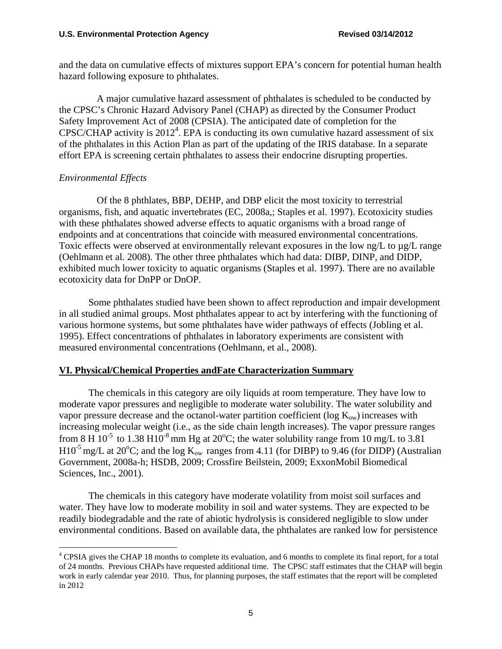and the data on cumulative effects of mixtures support EPA's concern for potential human health hazard following exposure to phthalates.

A major cumulative hazard assessment of phthalates is scheduled to be conducted by the CPSC's Chronic Hazard Advisory Panel (CHAP) as directed by the Consumer Product Safety Improvement Act of 2008 (CPSIA). The anticipated date of completion for the  $CPSC/CHAP$  activity is  $2012<sup>4</sup>$ . EPA is conducting its own cumulative hazard assessment of six of the phthalates in this Action Plan as part of the updating of the IRIS database. In a separate effort EPA is screening certain phthalates to assess their endocrine disrupting properties.

### *Environmental Effects*

 $\overline{a}$ 

Of the 8 phthlates, BBP, DEHP, and DBP elicit the most toxicity to terrestrial organisms, fish, and aquatic invertebrates (EC, 2008a,; Staples et al. 1997). Ecotoxicity studies with these phthalates showed adverse effects to aquatic organisms with a broad range of endpoints and at concentrations that coincide with measured environmental concentrations. Toxic effects were observed at environmentally relevant exposures in the low ng/L to µg/L range (Oehlmann et al. 2008). The other three phthalates which had data: DIBP, DINP, and DIDP, exhibited much lower toxicity to aquatic organisms (Staples et al. 1997). There are no available ecotoxicity data for DnPP or DnOP.

Some phthalates studied have been shown to affect reproduction and impair development in all studied animal groups. Most phthalates appear to act by interfering with the functioning of various hormone systems, but some phthalates have wider pathways of effects (Jobling et al. 1995). Effect concentrations of phthalates in laboratory experiments are consistent with measured environmental concentrations (Oehlmann, et al., 2008).

# **VI. Physical/Chemical Properties andFate Characterization Summary**

The chemicals in this category are oily liquids at room temperature. They have low to moderate vapor pressures and negligible to moderate water solubility. The water solubility and vapor pressure decrease and the octanol-water partition coefficient ( $log K<sub>ow</sub>$ ) increases with increasing molecular weight (i.e., as the side chain length increases). The vapor pressure ranges from 8 H 10<sup>-5</sup> to 1.38 H10<sup>-8</sup> mm Hg at 20<sup>o</sup>C; the water solubility range from 10 mg/L to 3.81  $H10^{-5}$  mg/L at 20<sup>o</sup>C; and the log  $K_{ow}$  ranges from 4.11 (for DIBP) to 9.46 (for DIDP) (Australian Government, 2008a-h; HSDB, 2009; Crossfire Beilstein, 2009; ExxonMobil Biomedical Sciences, Inc., 2001).

The chemicals in this category have moderate volatility from moist soil surfaces and water. They have low to moderate mobility in soil and water systems. They are expected to be readily biodegradable and the rate of abiotic hydrolysis is considered negligible to slow under environmental conditions. Based on available data, the phthalates are ranked low for persistence

<sup>&</sup>lt;sup>4</sup> CPSIA gives the CHAP 18 months to complete its evaluation, and 6 months to complete its final report, for a total of 24 months. Previous CHAPs have requested additional time. The CPSC staff estimates that the CHAP will begin work in early calendar year 2010. Thus, for planning purposes, the staff estimates that the report will be completed in 2012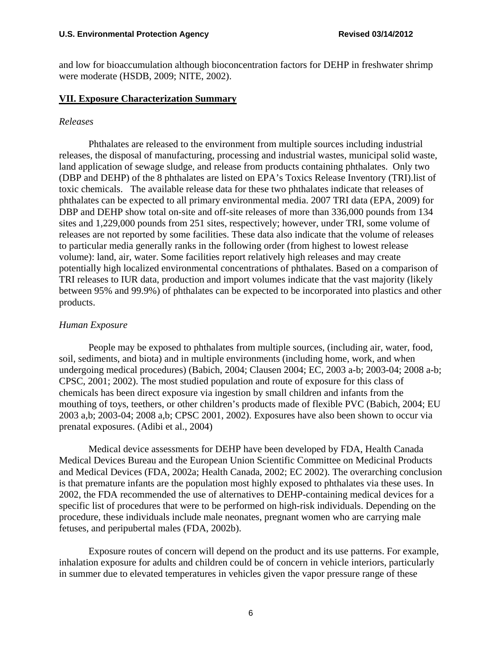and low for bioaccumulation although bioconcentration factors for DEHP in freshwater shrimp were moderate (HSDB, 2009; NITE, 2002).

#### **VII. Exposure Characterization Summary**

#### *Releases*

Phthalates are released to the environment from multiple sources including industrial releases, the disposal of manufacturing, processing and industrial wastes, municipal solid waste, land application of sewage sludge, and release from products containing phthalates. Only two (DBP and DEHP) of the 8 phthalates are listed on EPA's Toxics Release Inventory (TRI).list of toxic chemicals. The available release data for these two phthalates indicate that releases of phthalates can be expected to all primary environmental media. 2007 TRI data (EPA, 2009) for DBP and DEHP show total on-site and off-site releases of more than 336,000 pounds from 134 sites and 1,229,000 pounds from 251 sites, respectively; however, under TRI, some volume of releases are not reported by some facilities. These data also indicate that the volume of releases to particular media generally ranks in the following order (from highest to lowest release volume): land, air, water. Some facilities report relatively high releases and may create potentially high localized environmental concentrations of phthalates. Based on a comparison of TRI releases to IUR data, production and import volumes indicate that the vast majority (likely between 95% and 99.9%) of phthalates can be expected to be incorporated into plastics and other products.

#### *Human Exposure*

People may be exposed to phthalates from multiple sources, (including air, water, food, soil, sediments, and biota) and in multiple environments (including home, work, and when undergoing medical procedures) (Babich, 2004; Clausen 2004; EC, 2003 a-b; 2003-04; 2008 a-b; CPSC, 2001; 2002). The most studied population and route of exposure for this class of chemicals has been direct exposure via ingestion by small children and infants from the mouthing of toys, teethers, or other children's products made of flexible PVC (Babich, 2004; EU 2003 a,b; 2003-04; 2008 a,b; CPSC 2001, 2002). Exposures have also been shown to occur via prenatal exposures. (Adibi et al., 2004)

Medical device assessments for DEHP have been developed by FDA, Health Canada Medical Devices Bureau and the European Union Scientific Committee on Medicinal Products and Medical Devices (FDA, 2002a; Health Canada, 2002; EC 2002). The overarching conclusion is that premature infants are the population most highly exposed to phthalates via these uses. In 2002, the FDA recommended the use of alternatives to DEHP-containing medical devices for a specific list of procedures that were to be performed on high-risk individuals. Depending on the procedure, these individuals include male neonates, pregnant women who are carrying male fetuses, and peripubertal males (FDA, 2002b).

Exposure routes of concern will depend on the product and its use patterns. For example, inhalation exposure for adults and children could be of concern in vehicle interiors, particularly in summer due to elevated temperatures in vehicles given the vapor pressure range of these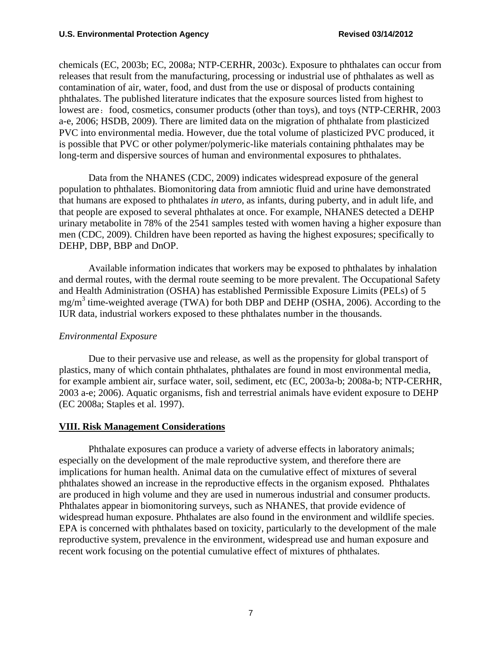chemicals (EC, 2003b; EC, 2008a; NTP-CERHR, 2003c). Exposure to phthalates can occur from releases that result from the manufacturing, processing or industrial use of phthalates as well as contamination of air, water, food, and dust from the use or disposal of products containing phthalates. The published literature indicates that the exposure sources listed from highest to lowest are: food, cosmetics, consumer products (other than toys), and toys (NTP-CERHR, 2003 a-e, 2006; HSDB, 2009). There are limited data on the migration of phthalate from plasticized PVC into environmental media. However, due the total volume of plasticized PVC produced, it is possible that PVC or other polymer/polymeric-like materials containing phthalates may be long-term and dispersive sources of human and environmental exposures to phthalates.

Data from the NHANES (CDC, 2009) indicates widespread exposure of the general population to phthalates. Biomonitoring data from amniotic fluid and urine have demonstrated that humans are exposed to phthalates *in utero*, as infants, during puberty, and in adult life, and that people are exposed to several phthalates at once. For example, NHANES detected a DEHP urinary metabolite in 78% of the 2541 samples tested with women having a higher exposure than men (CDC, 2009). Children have been reported as having the highest exposures; specifically to DEHP, DBP, BBP and DnOP.

Available information indicates that workers may be exposed to phthalates by inhalation and dermal routes, with the dermal route seeming to be more prevalent. The Occupational Safety and Health Administration (OSHA) has established Permissible Exposure Limits (PELs) of 5  $mg/m<sup>3</sup>$  time-weighted average (TWA) for both DBP and DEHP (OSHA, 2006). According to the IUR data, industrial workers exposed to these phthalates number in the thousands.

# *Environmental Exposure*

Due to their pervasive use and release, as well as the propensity for global transport of plastics, many of which contain phthalates, phthalates are found in most environmental media, for example ambient air, surface water, soil, sediment, etc (EC, 2003a-b; 2008a-b; NTP-CERHR, 2003 a-e; 2006). Aquatic organisms, fish and terrestrial animals have evident exposure to DEHP (EC 2008a; Staples et al. 1997).

# **VIII. Risk Management Considerations**

Phthalate exposures can produce a variety of adverse effects in laboratory animals; especially on the development of the male reproductive system, and therefore there are implications for human health. Animal data on the cumulative effect of mixtures of several phthalates showed an increase in the reproductive effects in the organism exposed. Phthalates are produced in high volume and they are used in numerous industrial and consumer products. Phthalates appear in biomonitoring surveys, such as NHANES, that provide evidence of widespread human exposure. Phthalates are also found in the environment and wildlife species. EPA is concerned with phthalates based on toxicity, particularly to the development of the male reproductive system, prevalence in the environment, widespread use and human exposure and recent work focusing on the potential cumulative effect of mixtures of phthalates.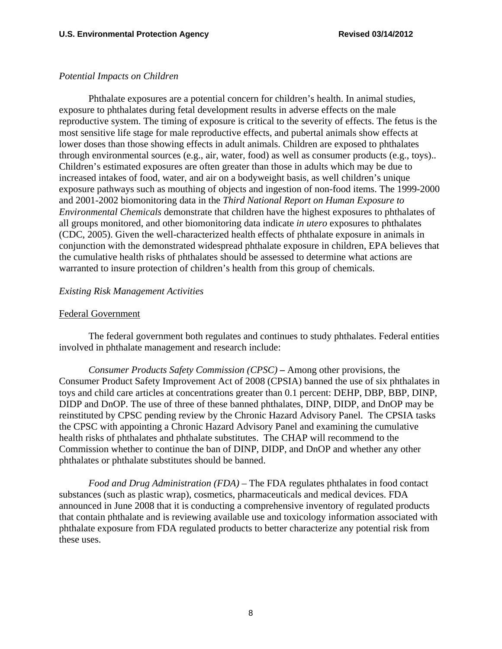# *Potential Impacts on Children*

Phthalate exposures are a potential concern for children's health. In animal studies, exposure to phthalates during fetal development results in adverse effects on the male reproductive system. The timing of exposure is critical to the severity of effects. The fetus is the most sensitive life stage for male reproductive effects, and pubertal animals show effects at lower doses than those showing effects in adult animals. Children are exposed to phthalates through environmental sources (e.g., air, water, food) as well as consumer products (e.g., toys).. Children's estimated exposures are often greater than those in adults which may be due to increased intakes of food, water, and air on a bodyweight basis, as well children's unique exposure pathways such as mouthing of objects and ingestion of non-food items. The 1999-2000 and 2001-2002 biomonitoring data in the *Third National Report on Human Exposure to Environmental Chemicals* demonstrate that children have the highest exposures to phthalates of all groups monitored, and other biomonitoring data indicate *in utero* exposures to phthalates (CDC, 2005). Given the well-characterized health effects of phthalate exposure in animals in conjunction with the demonstrated widespread phthalate exposure in children, EPA believes that the cumulative health risks of phthalates should be assessed to determine what actions are warranted to insure protection of children's health from this group of chemicals.

### *Existing Risk Management Activities*

### Federal Government

The federal government both regulates and continues to study phthalates. Federal entities involved in phthalate management and research include:

*Consumer Products Safety Commission (CPSC)* **–** Among other provisions, the Consumer Product Safety Improvement Act of 2008 (CPSIA) banned the use of six phthalates in toys and child care articles at concentrations greater than 0.1 percent: DEHP, DBP, BBP, DINP, DIDP and DnOP. The use of three of these banned phthalates, DINP, DIDP, and DnOP may be reinstituted by CPSC pending review by the Chronic Hazard Advisory Panel. The CPSIA tasks the CPSC with appointing a Chronic Hazard Advisory Panel and examining the cumulative health risks of phthalates and phthalate substitutes. The CHAP will recommend to the Commission whether to continue the ban of DINP, DIDP, and DnOP and whether any other phthalates or phthalate substitutes should be banned.

*Food and Drug Administration (FDA)* – The FDA regulates phthalates in food contact substances (such as plastic wrap), cosmetics, pharmaceuticals and medical devices. FDA announced in June 2008 that it is conducting a comprehensive inventory of regulated products that contain phthalate and is reviewing available use and toxicology information associated with phthalate exposure from FDA regulated products to better characterize any potential risk from these uses.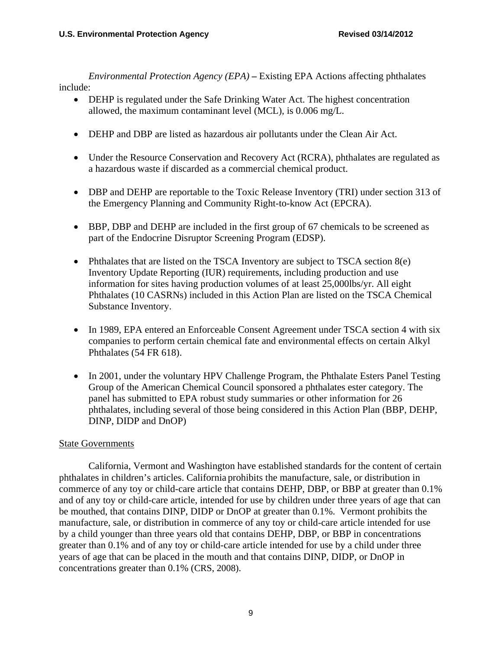*Environmental Protection Agency (EPA)* **–** Existing EPA Actions affecting phthalates include:

- DEHP is regulated under the Safe Drinking Water Act. The highest concentration allowed, the maximum contaminant level (MCL), is 0.006 mg/L.
- DEHP and DBP are listed as hazardous air pollutants under the Clean Air Act.
- Under the Resource Conservation and Recovery Act (RCRA), phthalates are regulated as a hazardous waste if discarded as a commercial chemical product.
- DBP and DEHP are reportable to the Toxic Release Inventory (TRI) under section 313 of the Emergency Planning and Community Right-to-know Act (EPCRA).
- BBP, DBP and DEHP are included in the first group of 67 chemicals to be screened as part of the Endocrine Disruptor Screening Program (EDSP).
- Phthalates that are listed on the TSCA Inventory are subject to TSCA section  $8(e)$ Inventory Update Reporting (IUR) requirements, including production and use information for sites having production volumes of at least 25,000lbs/yr. All eight Phthalates (10 CASRNs) included in this Action Plan are listed on the TSCA Chemical Substance Inventory.
- In 1989, EPA entered an Enforceable Consent Agreement under TSCA section 4 with six companies to perform certain chemical fate and environmental effects on certain Alkyl Phthalates (54 FR 618).
- In 2001, under the voluntary HPV Challenge Program, the Phthalate Esters Panel Testing Group of the American Chemical Council sponsored a phthalates ester category. The panel has submitted to EPA robust study summaries or other information for 26 phthalates, including several of those being considered in this Action Plan (BBP, DEHP, DINP, DIDP and DnOP)

# **State Governments**

California, Vermont and Washington have established standards for the content of certain phthalates in children's articles. California prohibits the manufacture, sale, or distribution in commerce of any toy or child-care article that contains DEHP, DBP, or BBP at greater than 0.1% and of any toy or child-care article, intended for use by children under three years of age that can be mouthed, that contains DINP, DIDP or DnOP at greater than 0.1%. Vermont prohibits the manufacture, sale, or distribution in commerce of any toy or child-care article intended for use by a child younger than three years old that contains DEHP, DBP, or BBP in concentrations greater than 0.1% and of any toy or child-care article intended for use by a child under three years of age that can be placed in the mouth and that contains DINP, DIDP, or DnOP in concentrations greater than 0.1% (CRS, 2008).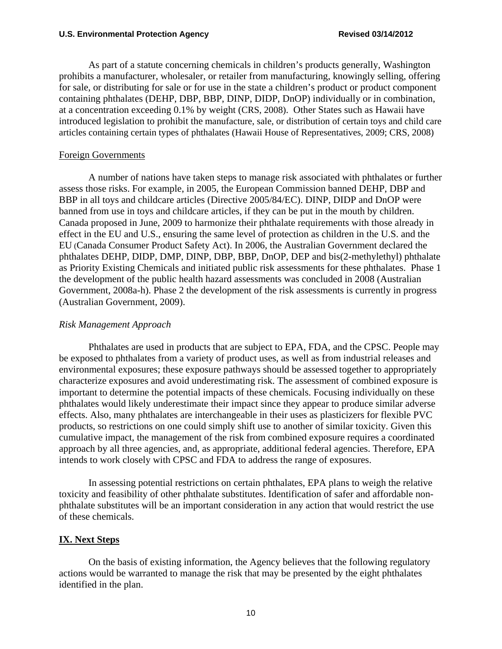As part of a statute concerning chemicals in children's products generally, Washington prohibits a manufacturer, wholesaler, or retailer from manufacturing, knowingly selling, offering for sale, or distributing for sale or for use in the state a children's product or product component containing phthalates (DEHP, DBP, BBP, DINP, DIDP, DnOP) individually or in combination, at a concentration exceeding 0.1% by weight (CRS, 2008). Other States such as Hawaii have introduced legislation to prohibit the manufacture, sale, or distribution of certain toys and child care articles containing certain types of phthalates (Hawaii House of Representatives, 2009; CRS, 2008)

#### Foreign Governments

A number of nations have taken steps to manage risk associated with phthalates or further assess those risks. For example, in 2005, the European Commission banned DEHP, DBP and BBP in all toys and childcare articles (Directive 2005/84/EC). DINP, DIDP and DnOP were banned from use in toys and childcare articles, if they can be put in the mouth by children. Canada proposed in June, 2009 to harmonize their phthalate requirements with those already in effect in the EU and U.S., ensuring the same level of protection as children in the U.S. and the EU (Canada Consumer Product Safety Act). In 2006, the Australian Government declared the phthalates DEHP, DIDP, DMP, DINP, DBP, BBP, DnOP, DEP and bis(2-methylethyl) phthalate as Priority Existing Chemicals and initiated public risk assessments for these phthalates. Phase 1 the development of the public health hazard assessments was concluded in 2008 (Australian Government, 2008a-h). Phase 2 the development of the risk assessments is currently in progress (Australian Government, 2009).

# *Risk Management Approach*

Phthalates are used in products that are subject to EPA, FDA, and the CPSC. People may be exposed to phthalates from a variety of product uses, as well as from industrial releases and environmental exposures; these exposure pathways should be assessed together to appropriately characterize exposures and avoid underestimating risk. The assessment of combined exposure is important to determine the potential impacts of these chemicals. Focusing individually on these phthalates would likely underestimate their impact since they appear to produce similar adverse effects. Also, many phthalates are interchangeable in their uses as plasticizers for flexible PVC products, so restrictions on one could simply shift use to another of similar toxicity. Given this cumulative impact, the management of the risk from combined exposure requires a coordinated approach by all three agencies, and, as appropriate, additional federal agencies. Therefore, EPA intends to work closely with CPSC and FDA to address the range of exposures.

In assessing potential restrictions on certain phthalates, EPA plans to weigh the relative toxicity and feasibility of other phthalate substitutes. Identification of safer and affordable nonphthalate substitutes will be an important consideration in any action that would restrict the use of these chemicals.

# **IX. Next Steps**

On the basis of existing information, the Agency believes that the following regulatory actions would be warranted to manage the risk that may be presented by the eight phthalates identified in the plan.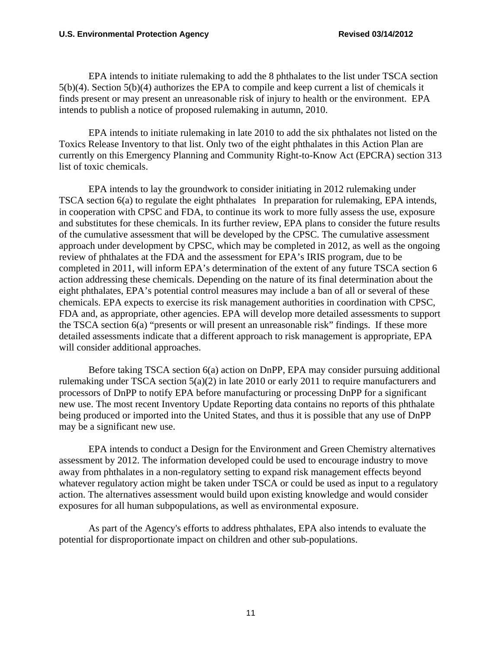EPA intends to initiate rulemaking to add the 8 phthalates to the list under TSCA section 5(b)(4). Section 5(b)(4) authorizes the EPA to compile and keep current a list of chemicals it finds present or may present an unreasonable risk of injury to health or the environment. EPA intends to publish a notice of proposed rulemaking in autumn, 2010.

EPA intends to initiate rulemaking in late 2010 to add the six phthalates not listed on the Toxics Release Inventory to that list. Only two of the eight phthalates in this Action Plan are currently on this Emergency Planning and Community Right-to-Know Act (EPCRA) section 313 list of toxic chemicals.

EPA intends to lay the groundwork to consider initiating in 2012 rulemaking under TSCA section 6(a) to regulate the eight phthalates In preparation for rulemaking, EPA intends, in cooperation with CPSC and FDA, to continue its work to more fully assess the use, exposure and substitutes for these chemicals. In its further review, EPA plans to consider the future results of the cumulative assessment that will be developed by the CPSC. The cumulative assessment approach under development by CPSC, which may be completed in 2012, as well as the ongoing review of phthalates at the FDA and the assessment for EPA's IRIS program, due to be completed in 2011, will inform EPA's determination of the extent of any future TSCA section 6 action addressing these chemicals. Depending on the nature of its final determination about the eight phthalates, EPA's potential control measures may include a ban of all or several of these chemicals. EPA expects to exercise its risk management authorities in coordination with CPSC, FDA and, as appropriate, other agencies. EPA will develop more detailed assessments to support the TSCA section 6(a) "presents or will present an unreasonable risk" findings. If these more detailed assessments indicate that a different approach to risk management is appropriate, EPA will consider additional approaches.

Before taking TSCA section 6(a) action on DnPP, EPA may consider pursuing additional rulemaking under TSCA section 5(a)(2) in late 2010 or early 2011 to require manufacturers and processors of DnPP to notify EPA before manufacturing or processing DnPP for a significant new use. The most recent Inventory Update Reporting data contains no reports of this phthalate being produced or imported into the United States, and thus it is possible that any use of DnPP may be a significant new use.

EPA intends to conduct a Design for the Environment and Green Chemistry alternatives assessment by 2012. The information developed could be used to encourage industry to move away from phthalates in a non-regulatory setting to expand risk management effects beyond whatever regulatory action might be taken under TSCA or could be used as input to a regulatory action. The alternatives assessment would build upon existing knowledge and would consider exposures for all human subpopulations, as well as environmental exposure.

As part of the Agency's efforts to address phthalates, EPA also intends to evaluate the potential for disproportionate impact on children and other sub-populations.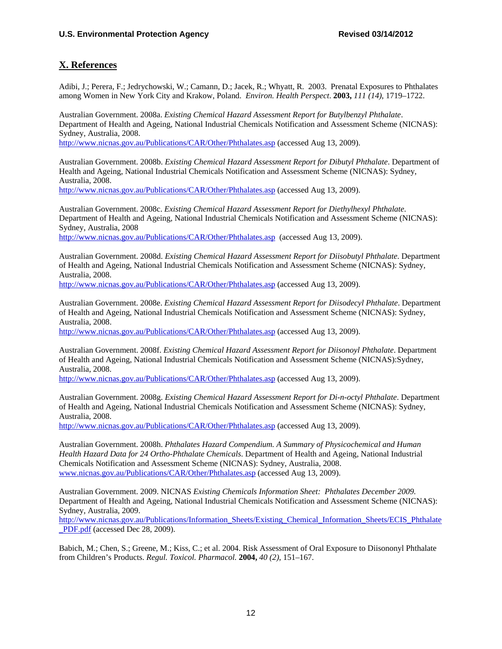#### **X. References**

 Adibi, J.; Perera, F.; Jedrychowski, W.; Camann, D.; Jacek, R.; Whyatt, R. 2003. Prenatal Exposures to Phthalates among Women in New York City and Krakow, Poland. *Environ. Health Perspect*. **2003,** *111 (14)*, 1719–1722.

 Australian Government. 2008a. *Existing Chemical Hazard Assessment Report for Butylbenzyl Phthalate*. Department of Health and Ageing, National Industrial Chemicals Notification and Assessment Scheme (NICNAS): Sydney, Australia, 2008.

http://www.nicnas.gov.au/Publications/CAR/Other/Phthalates.asp (accessed Aug 13, 2009).

 Australian Government. 2008b. *Existing Chemical Hazard Assessment Report for Dibutyl Phthalate*. Department of Health and Ageing, National Industrial Chemicals Notification and Assessment Scheme (NICNAS): Sydney, Australia, 2008.

http://www.nicnas.gov.au/Publications/CAR/Other/Phthalates.asp (accessed Aug 13, 2009).

 Department of Health and Ageing, National Industrial Chemicals Notification and Assessment Scheme (NICNAS): Australian Government. 2008c. *Existing Chemical Hazard Assessment Report for Diethylhexyl Phthalate*. Sydney, Australia, 2008

http://www.nicnas.gov.au/Publications/CAR/Other/Phthalates.asp (accessed Aug 13, 2009).

Australian Government. 2008d. *Existing Chemical Hazard Assessment Report for Diisobutyl Phthalate*. Department of Health and Ageing, National Industrial Chemicals Notification and Assessment Scheme (NICNAS): Sydney, Australia, 2008.

http://www.nicnas.gov.au/Publications/CAR/Other/Phthalates.asp (accessed Aug 13, 2009).

Australian Government. 2008e. *Existing Chemical Hazard Assessment Report for Diisodecyl Phthalate*. Department of Health and Ageing, National Industrial Chemicals Notification and Assessment Scheme (NICNAS): Sydney, Australia, 2008.

http://www.nicnas.gov.au/Publications/CAR/Other/Phthalates.asp (accessed Aug 13, 2009).

Australian Government. 2008f. *Existing Chemical Hazard Assessment Report for Diisonoyl Phthalate*. Department of Health and Ageing, National Industrial Chemicals Notification and Assessment Scheme (NICNAS):Sydney, Australia, 2008.

http://www.nicnas.gov.au/Publications/CAR/Other/Phthalates.asp (accessed Aug 13, 2009).

 Australian Government. 2008g. *Existing Chemical Hazard Assessment Report for Di-n-octyl Phthalate*. Department of Health and Ageing, National Industrial Chemicals Notification and Assessment Scheme (NICNAS): Sydney, Australia, 2008.

http://www.nicnas.gov.au/Publications/CAR/Other/Phthalates.asp (accessed Aug 13, 2009).

 Australian Government. 2008h. *Phthalates Hazard Compendium. A Summary of Physicochemical and Human Health Hazard Data for 24 Ortho-Phthalate Chemicals*. Department of Health and Ageing, National Industrial Chemicals Notification and Assessment Scheme (NICNAS): Sydney, Australia, 2008. www.nicnas.gov.au/Publications/CAR/Other/Phthalates.asp (accessed Aug 13, 2009).

 Department of Health and Ageing, National Industrial Chemicals Notification and Assessment Scheme (NICNAS): Australian Government. 2009. NICNAS *Existing Chemicals Information Sheet: Phthalates December 2009.*  Sydney, Australia, 2009.

http://www.nicnas.gov.au/Publications/Information\_Sheets/Existing\_Chemical\_Information\_Sheets/ECIS\_Phthalate \_PDF.pdf (accessed Dec 28, 2009).

 from Children's Products. *Regul. Toxicol. Pharmacol.* **2004,** *40 (2)*, 151–167. Babich, M.; Chen, S.; Greene, M.; Kiss, C.; et al. 2004. Risk Assessment of Oral Exposure to Diisononyl Phthalate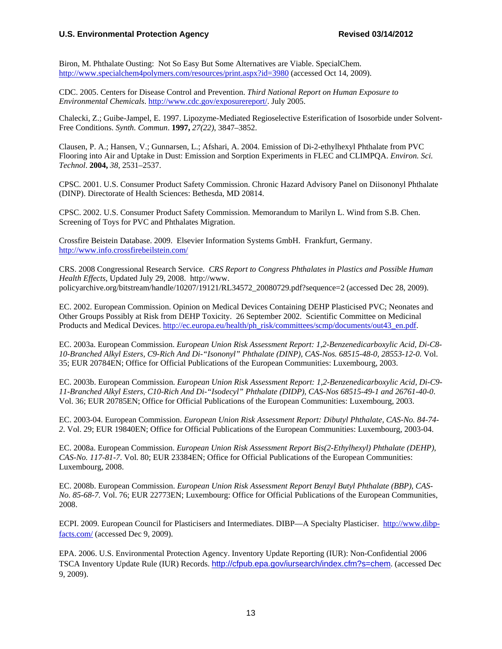#### U.S. Environmental Protection Agency **Revised 03/14/2012**

 Biron, M. Phthalate Ousting: Not So Easy But Some Alternatives are Viable. SpecialChem. http://www.specialchem4polymers.com/resources/print.aspx?id=3980 (accessed Oct 14, 2009).

CDC. 2005. Centers for Disease Control and Prevention. *Third National Report on Human Exposure to Environmental Chemicals*. http://www.cdc.gov/exposurereport/. July 2005.

 Chalecki, Z.; Guibe-Jampel, E. 1997. Lipozyme-Mediated Regioselective Esterification of Isosorbide under Solvent-Free Conditions. *Synth. Commun*. **1997,** *27(22)*, 3847–3852.

Clausen, P. A.; Hansen, V.; Gunnarsen, L.; Afshari, A. 2004. Emission of Di-2-ethylhexyl Phthalate from PVC Flooring into Air and Uptake in Dust: Emission and Sorption Experiments in FLEC and CLIMPQA. *Environ. Sci. Technol*. **2004,** *38*, 2531–2537.

CPSC. 2001. U.S. Consumer Product Safety Commission. Chronic Hazard Advisory Panel on Diisononyl Phthalate (DINP). Directorate of Health Sciences: Bethesda, MD 20814.

 Screening of Toys for PVC and Phthalates Migration. CPSC. 2002. U.S. Consumer Product Safety Commission. Memorandum to Marilyn L. Wind from S.B. Chen.

 Crossfire Beistein Database. 2009. Elsevier Information Systems GmbH. Frankfurt, Germany. http://www.info.crossfirebeilstein.com/

CRS. 2008 Congressional Research Service. *CRS Report to Congress Phthalates in Plastics and Possible Human Health Effects*, Updated July 29, 2008. http://www. policyarchive.org/bitstream/handle/10207/19121/RL34572\_20080729.pdf?sequence=2 (accessed Dec 28, 2009).

EC. 2002. European Commission. Opinion on Medical Devices Containing DEHP Plasticised PVC; Neonates and Other Groups Possibly at Risk from DEHP Toxicity. 26 September 2002. Scientific Committee on Medicinal Products and Medical Devices. http://ec.europa.eu/health/ph\_risk/committees/scmp/documents/out43\_en.pdf.

 *10-Branched Alkyl Esters, C9-Rich And Di-"Isononyl" Phthalate (DINP), CAS-Nos. 68515-48-0, 28553-12-0.* Vol. EC. 2003a. European Commission. *European Union Risk Assessment Report: 1,2-Benzenedicarboxylic Acid, Di-C8-* 35; EUR 20784EN; Office for Official Publications of the European Communities: Luxembourg, 2003.

EC. 2003b. European Commission. *European Union Risk Assessment Report: 1,2-Benzenedicarboxylic Acid, Di-C9- 11-Branched Alkyl Esters, C10-Rich And Di-"Isodecyl" Phthalate (DIDP), CAS-Nos 68515-49-1 and 26761-40-0*. Vol. 36; EUR 20785EN; Office for Official Publications of the European Communities: Luxembourg, 2003.

EC. 2003-04. European Commission. *European Union Risk Assessment Report: Dibutyl Phthalate, CAS-No. 84-74- 2*. Vol. 29; EUR 19840EN; Office for Official Publications of the European Communities: Luxembourg, 2003-04.

EC. 2008a. European Commission. *European Union Risk Assessment Report Bis(2-Ethylhexyl) Phthalate (DEHP), CAS-No. 117-81-7*. Vol. 80; EUR 23384EN; Office for Official Publications of the European Communities: Luxembourg, 2008.

EC. 2008b. European Commission. *European Union Risk Assessment Report Benzyl Butyl Phthalate (BBP), CAS-No. 85-68-7.* Vol. 76; EUR 22773EN; Luxembourg: Office for Official Publications of the European Communities, 2008.

ECPI. 2009. European Council for Plasticisers and Intermediates. DIBP—A Specialty Plasticiser. http://www.dibpfacts.com/ (accessed Dec 9, 2009).

EPA. 2006. U.S. Environmental Protection Agency. Inventory Update Reporting (IUR): Non-Confidential 2006 TSCA Inventory Update Rule (IUR) Records. http://cfpub.epa.gov/iursearch/index.cfm?s=chem. (accessed Dec 9, 2009).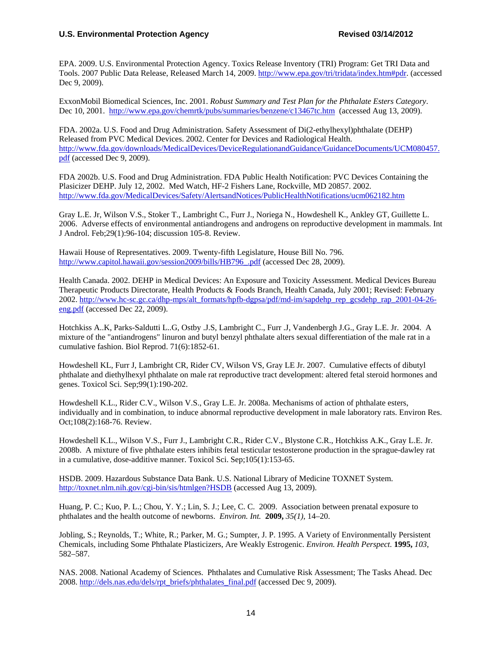EPA. 2009. U.S. Environmental Protection Agency. Toxics Release Inventory (TRI) Program: Get TRI Data and Tools. 2007 Public Data Release, Released March 14, 2009. http://www.epa.gov/tri/tridata/index.htm#pdr. (accessed Dec 9, 2009).

ExxonMobil Biomedical Sciences, Inc. 2001. *Robust Summary and Test Plan for the Phthalate Esters Category*. Dec 10, 2001. http://www.epa.gov/chemrtk/pubs/summaries/benzene/c13467tc.htm (accessed Aug 13, 2009).

FDA. 2002a. U.S. Food and Drug Administration. Safety Assessment of Di(2-ethylhexyl)phthalate (DEHP) Released from PVC Medical Devices. 2002. Center for Devices and Radiological Health. http://www.fda.gov/downloads/MedicalDevices/DeviceRegulationandGuidance/GuidanceDocuments/UCM080457. pdf (accessed Dec 9, 2009).

 FDA 2002b. U.S. Food and Drug Administration. FDA Public Health Notification: PVC Devices Containing the Plasicizer DEHP. July 12, 2002. Med Watch, HF-2 Fishers Lane, Rockville, MD 20857. 2002. http://www.fda.gov/MedicalDevices/Safety/AlertsandNotices/PublicHealthNotifications/ucm062182.htm

Gray L.E. Jr, Wilson V.S., Stoker T., Lambright C., Furr J., Noriega N., Howdeshell K., Ankley GT, Guillette L. 2006. Adverse effects of environmental antiandrogens and androgens on reproductive development in mammals. Int J Androl. Feb;29(1):96-104; discussion 105-8. Review.

Hawaii House of Representatives. 2009. Twenty-fifth Legislature, House Bill No. 796. http://www.capitol.hawaii.gov/session2009/bills/HB796\_.pdf (accessed Dec 28, 2009).

Health Canada. 2002. DEHP in Medical Devices: An Exposure and Toxicity Assessment. Medical Devices Bureau Therapeutic Products Directorate, Health Products & Foods Branch, Health Canada, July 2001; Revised: February 2002. http://www.hc-sc.gc.ca/dhp-mps/alt\_formats/hpfb-dgpsa/pdf/md-im/sapdehp\_rep\_gcsdehp\_rap\_2001-04-26 eng.pdf (accessed Dec 22, 2009).

Hotchkiss A..K, Parks-Saldutti L..G, Ostby .J.S, Lambright C., Furr .J, Vandenbergh J.G., Gray L.E. Jr. 2004. A mixture of the "antiandrogens" linuron and butyl benzyl phthalate alters sexual differentiation of the male rat in a cumulative fashion. Biol Reprod. 71(6):1852-61.

Howdeshell KL, Furr J, Lambright CR, Rider CV, Wilson VS, Gray LE Jr. 2007. Cumulative effects of dibutyl phthalate and diethylhexyl phthalate on male rat reproductive tract development: altered fetal steroid hormones and genes. Toxicol Sci. Sep;99(1):190-202.

 Howdeshell K.L., Rider C.V., Wilson V.S., Gray L.E. Jr. 2008a. Mechanisms of action of phthalate esters, individually and in combination, to induce abnormal reproductive development in male laboratory rats. Environ Res. Oct;108(2):168-76. Review.

Howdeshell K.L., Wilson V.S., Furr J., Lambright C.R., Rider C.V., Blystone C.R., Hotchkiss A.K., Gray L.E. Jr. 2008b. A mixture of five phthalate esters inhibits fetal testicular testosterone production in the sprague-dawley rat in a cumulative, dose-additive manner. Toxicol Sci. Sep;105(1):153-65.

HSDB. 2009. Hazardous Substance Data Bank. U.S. National Library of Medicine TOXNET System. http://toxnet.nlm.nih.gov/cgi-bin/sis/htmlgen?HSDB (accessed Aug 13, 2009).

 Huang, P. C.; Kuo, P. L.; Chou, Y. Y.; Lin, S. J.; Lee, C. C. 2009. Association between prenatal exposure to phthalates and the health outcome of newborns. *Environ. Int.* **2009,** *35(1)*, 14–20.

 Jobling, S.; Reynolds, T.; White, R.; Parker, M. G.; Sumpter, J. P. 1995. A Variety of Environmentally Persistent Chemicals, including Some Phthalate Plasticizers, Are Weakly Estrogenic. *Environ. Health Perspect.* **1995,** *103*, 582–587.

NAS. 2008. National Academy of Sciences. Phthalates and Cumulative Risk Assessment; The Tasks Ahead. Dec 2008. http://dels.nas.edu/dels/rpt\_briefs/phthalates\_final.pdf (accessed Dec 9, 2009).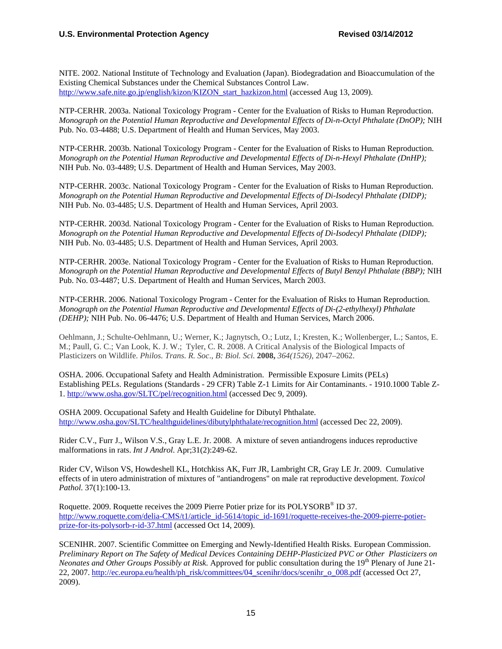NITE. 2002. National Institute of Technology and Evaluation (Japan). Biodegradation and Bioaccumulation of the Existing Chemical Substances under the Chemical Substances Control Law. http://www.safe.nite.go.jp/english/kizon/KIZON\_start\_hazkizon.html (accessed Aug 13, 2009).

 Pub. No. 03-4488; U.S. Department of Health and Human Services, May 2003. NTP-CERHR. 2003a. National Toxicology Program - Center for the Evaluation of Risks to Human Reproduction. *Monograph on the Potential Human Reproductive and Developmental Effects of Di-n-Octyl Phthalate (DnOP);* NIH

NTP-CERHR. 2003b. National Toxicology Program - Center for the Evaluation of Risks to Human Reproduction. *Monograph on the Potential Human Reproductive and Developmental Effects of Di-n-Hexyl Phthalate (DnHP);*  NIH Pub. No. 03-4489; U.S. Department of Health and Human Services, May 2003.

NTP-CERHR. 2003c. National Toxicology Program - Center for the Evaluation of Risks to Human Reproduction. *Monograph on the Potential Human Reproductive and Developmental Effects of Di-Isodecyl Phthalate (DIDP);*  NIH Pub. No. 03-4485; U.S. Department of Health and Human Services, April 2003.

NTP-CERHR. 2003d. National Toxicology Program - Center for the Evaluation of Risks to Human Reproduction. *Monograph on the Potential Human Reproductive and Developmental Effects of Di-Isodecyl Phthalate (DIDP);*  NIH Pub. No. 03-4485; U.S. Department of Health and Human Services, April 2003.

 Pub. No. 03-4487; U.S. Department of Health and Human Services, March 2003. NTP-CERHR. 2003e. National Toxicology Program - Center for the Evaluation of Risks to Human Reproduction. *Monograph on the Potential Human Reproductive and Developmental Effects of Butyl Benzyl Phthalate (BBP);* NIH

 *(DEHP);* NIH Pub. No. 06-4476; U.S. Department of Health and Human Services, March 2006. NTP-CERHR. 2006. National Toxicology Program - Center for the Evaluation of Risks to Human Reproduction. *Monograph on the Potential Human Reproductive and Developmental Effects of Di-(2-ethylhexyl) Phthalate* 

 M.; Paull, G. C.; Van Look, K. J. W.; Tyler, C. R. 2008. A Critical Analysis of the Biological Impacts of Plasticizers on Wildlife. *Philos. Trans. R. Soc*., *B: Biol. Sci.* **2008,** *364(1526)*, 2047–2062. Oehlmann, J.; Schulte-Oehlmann, U.; Werner, K.; Jagnytsch, O.; Lutz, I.; Kresten, K.; Wollenberger, L.; Santos, E.

 OSHA. 2006. Occupational Safety and Health Administration. Permissible Exposure Limits (PELs) Establishing PELs. Regulations (Standards - 29 CFR) Table Z-1 Limits for Air Contaminants. - 1910.1000 Table Z-1. http://www.osha.gov/SLTC/pel/recognition.html (accessed Dec 9, 2009).

 OSHA 2009. Occupational Safety and Health Guideline for Dibutyl Phthalate. http://www.osha.gov/SLTC/healthguidelines/dibutylphthalate/recognition.html (accessed Dec 22, 2009).

 Rider C.V., Furr J., Wilson V.S., Gray L.E. Jr. 2008. A mixture of seven antiandrogens induces reproductive malformations in rats. *Int J Androl*. Apr;31(2):249-62.

Rider CV, Wilson VS, Howdeshell KL, Hotchkiss AK, Furr JR, Lambright CR, Gray LE Jr. 2009. Cumulative effects of in utero administration of mixtures of "antiandrogens" on male rat reproductive development. *Toxicol Pathol*. 37(1):100-13.

Roquette. 2009. Roquette receives the 2009 Pierre Potier prize for its POLYSORB® ID 37. http://www.roquette.com/delia-CMS/t1/article\_id-5614/topic\_id-1691/roquette-receives-the-2009-pierre-potierprize-for-its-polysorb-r-id-37.html (accessed Oct 14, 2009).

SCENIHR. 2007. Scientific Committee on Emerging and Newly-Identified Health Risks. European Commission. *Preliminary Report on The Safety of Medical Devices Containing DEHP-Plasticized PVC or Other Plasticizers on Neonates and Other Groups Possibly at Risk.* Approved for public consultation during the 19<sup>th</sup> Plenary of June 21-22, 2007. http://ec.europa.eu/health/ph\_risk/committees/04\_scenihr/docs/scenihr\_o\_008.pdf (accessed Oct 27, 2009).